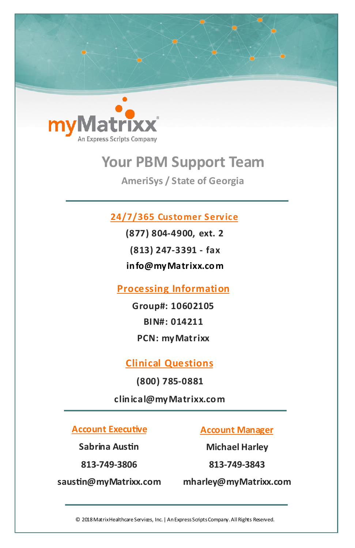

# **Your PBM Support Team**

**AmeriSys / State of Georgia**

#### **24/7/365 Customer Service**

**(877) 804-4900, ext. 2 (813) 247-3391 - fax info@myMatrixx.com**

**Processing Information**

**Group#: 10602105 BIN#: 014211 PCN: myMatrixx**

**Clinical Questions**

**(800) 785-0881**

**clinical@myMatrixx.com**

**Account Executive**

**Sabrina Austin**

**813-749-3806**

**saustin@myMatrixx.com**

**Account Manager** 

**Michael Harley**

**813-749-3843**

**mharley@myMatrixx.com**

© 2018 Matrix Healthcare Services, Inc. | An Express Scripts Company. All Rights Reserved.